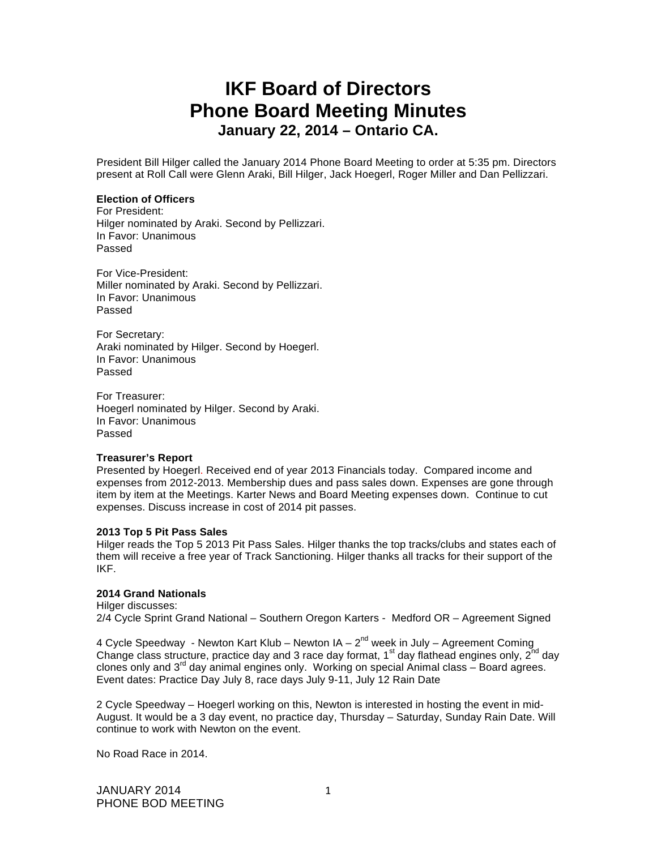# **IKF Board of Directors Phone Board Meeting Minutes January 22, 2014 – Ontario CA.**

President Bill Hilger called the January 2014 Phone Board Meeting to order at 5:35 pm. Directors present at Roll Call were Glenn Araki, Bill Hilger, Jack Hoegerl, Roger Miller and Dan Pellizzari.

## **Election of Officers**

For President: Hilger nominated by Araki. Second by Pellizzari. In Favor: Unanimous Passed

For Vice-President: Miller nominated by Araki. Second by Pellizzari. In Favor: Unanimous Passed

For Secretary: Araki nominated by Hilger. Second by Hoegerl. In Favor: Unanimous Passed

For Treasurer: Hoegerl nominated by Hilger. Second by Araki. In Favor: Unanimous Passed

## **Treasurer's Report**

Presented by Hoegerl. Received end of year 2013 Financials today. Compared income and expenses from 2012-2013. Membership dues and pass sales down. Expenses are gone through item by item at the Meetings. Karter News and Board Meeting expenses down. Continue to cut expenses. Discuss increase in cost of 2014 pit passes.

#### **2013 Top 5 Pit Pass Sales**

Hilger reads the Top 5 2013 Pit Pass Sales. Hilger thanks the top tracks/clubs and states each of them will receive a free year of Track Sanctioning. Hilger thanks all tracks for their support of the IKF.

## **2014 Grand Nationals**

Hilger discusses: 2/4 Cycle Sprint Grand National – Southern Oregon Karters - Medford OR – Agreement Signed

4 Cycle Speedway - Newton Kart Klub – Newton  $IA - 2<sup>nd</sup>$  week in July – Agreement Coming Change class structure, practice day and 3 race day format,  $1<sup>st</sup>$  day flathead engines only,  $2<sup>nd</sup>$  day clones only and  $3^{rd}$  day animal engines only. Working on special Animal class – Board agrees. Event dates: Practice Day July 8, race days July 9-11, July 12 Rain Date

2 Cycle Speedway – Hoegerl working on this, Newton is interested in hosting the event in mid-August. It would be a 3 day event, no practice day, Thursday – Saturday, Sunday Rain Date. Will continue to work with Newton on the event.

No Road Race in 2014.

JANUARY 2014 PHONE BOD MEETING